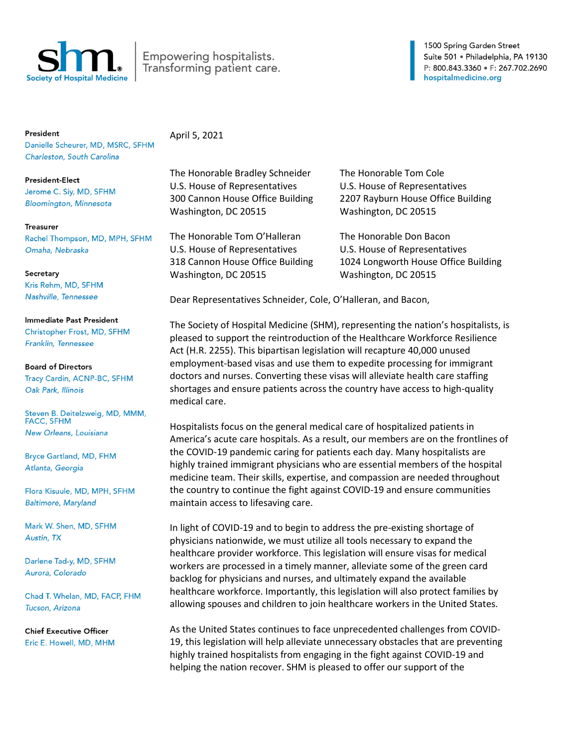

## Empowering hospitalists. Transforming patient care.

1500 Spring Garden Street Suite 501 · Philadelphia, PA 19130 P: 800.843.3360 · F: 267.702.2690 hospitalmedicine.org

President

Danielle Scheurer, MD, MSRC, SFHM Charleston, South Carolina

**President-Elect** Jerome C. Siy, MD, SFHM **Bloomington, Minnesota** 

## **Treasurer**

Rachel Thompson, MD, MPH, SFHM Omaha, Nebraska

## Secretary Kris Rehm, MD, SFHM Nashville, Tennessee

Immediate Past President Christopher Frost, MD, SFHM Franklin, Tennessee

## **Board of Directors**

Tracy Cardin, ACNP-BC, SFHM Oak Park, Illinois

Steven B. Deitelzweig, MD, MMM, **FACC, SFHM** New Orleans, Louisiana

**Bryce Gartland, MD, FHM** Atlanta, Georgia

Flora Kisuule, MD, MPH, SFHM **Baltimore, Maryland** 

Mark W. Shen, MD, SFHM Austin, TX

Darlene Tad-y, MD, SFHM Aurora, Colorado

Chad T. Whelan, MD, FACP, FHM Tucson, Arizona

**Chief Executive Officer** Eric E. Howell, MD, MHM April 5, 2021

The Honorable Bradley Schneider The Honorable Tom Cole U.S. House of Representatives U.S. House of Representatives Washington, DC 20515 Washington, DC 20515

The Honorable Tom O'Halleran The Honorable Don Bacon U.S. House of Representatives U.S. House of Representatives Washington, DC 20515 Washington, DC 20515

300 Cannon House Office Building 2207 Rayburn House Office Building

318 Cannon House Office Building 1024 Longworth House Office Building

Dear Representatives Schneider, Cole, O'Halleran, and Bacon,

The Society of Hospital Medicine (SHM), representing the nation's hospitalists, is pleased to support the reintroduction of the Healthcare Workforce Resilience Act (H.R. 2255). This bipartisan legislation will recapture 40,000 unused employment-based visas and use them to expedite processing for immigrant doctors and nurses. Converting these visas will alleviate health care staffing shortages and ensure patients across the country have access to high-quality medical care.

Hospitalists focus on the general medical care of hospitalized patients in America's acute care hospitals. As a result, our members are on the frontlines of the COVID-19 pandemic caring for patients each day. Many hospitalists are highly trained immigrant physicians who are essential members of the hospital medicine team. Their skills, expertise, and compassion are needed throughout the country to continue the fight against COVID-19 and ensure communities maintain access to lifesaving care.

In light of COVID-19 and to begin to address the pre-existing shortage of physicians nationwide, we must utilize all tools necessary to expand the healthcare provider workforce. This legislation will ensure visas for medical workers are processed in a timely manner, alleviate some of the green card backlog for physicians and nurses, and ultimately expand the available healthcare workforce. Importantly, this legislation will also protect families by allowing spouses and children to join healthcare workers in the United States.

As the United States continues to face unprecedented challenges from COVID-19, this legislation will help alleviate unnecessary obstacles that are preventing highly trained hospitalists from engaging in the fight against COVID-19 and helping the nation recover. SHM is pleased to offer our support of the